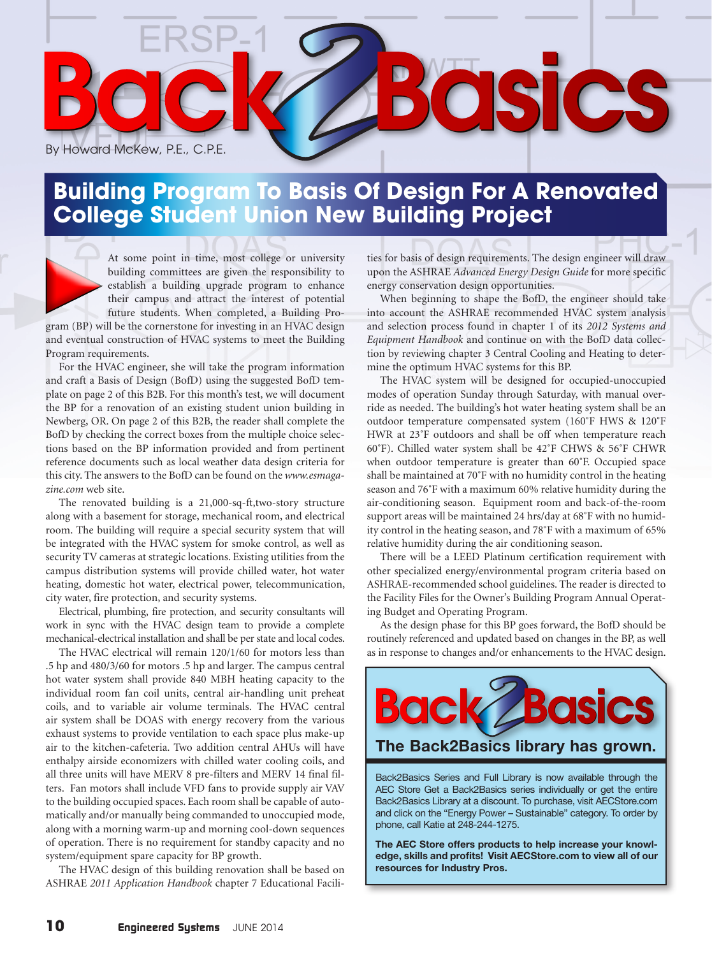

## **Building Program To Basis Of Design For A Renovated College Student Union New Building Project**

At some point in time, most college or university building committees are given the responsibility to establish a building upgrade program to enhance their campus and attract the interest of potential future students. When completed, a Building Pro-

gram (BP) will be the cornerstone for investing in an HVAC design and eventual construction of HVAC systems to meet the Building Program requirements.

For the HVAC engineer, she will take the program information and craft a Basis of Design (BofD) using the suggested BofD template on page 2 of this B2B. For this month's test, we will document the BP for a renovation of an existing student union building in Newberg, OR. On page 2 of this B2B, the reader shall complete the BofD by checking the correct boxes from the multiple choice selections based on the BP information provided and from pertinent reference documents such as local weather data design criteria for this city. The answers to the BofD can be found on the *www.esmagazine.com* web site.

The renovated building is a 21,000-sq-ft,two-story structure along with a basement for storage, mechanical room, and electrical room. The building will require a special security system that will be integrated with the HVAC system for smoke control, as well as security TV cameras at strategic locations. Existing utilities from the campus distribution systems will provide chilled water, hot water heating, domestic hot water, electrical power, telecommunication, city water, fire protection, and security systems.

Electrical, plumbing, fire protection, and security consultants will work in sync with the HVAC design team to provide a complete mechanical-electrical installation and shall be per state and local codes.

The HVAC electrical will remain 120/1/60 for motors less than .5 hp and 480/3/60 for motors .5 hp and larger. The campus central hot water system shall provide 840 MBH heating capacity to the individual room fan coil units, central air-handling unit preheat coils, and to variable air volume terminals. The HVAC central air system shall be DOAS with energy recovery from the various exhaust systems to provide ventilation to each space plus make-up air to the kitchen-cafeteria. Two addition central AHUs will have enthalpy airside economizers with chilled water cooling coils, and all three units will have MERV 8 pre-filters and MERV 14 final filters. Fan motors shall include VFD fans to provide supply air VAV to the building occupied spaces. Each room shall be capable of automatically and/or manually being commanded to unoccupied mode, along with a morning warm-up and morning cool-down sequences of operation. There is no requirement for standby capacity and no system/equipment spare capacity for BP growth.

The HVAC design of this building renovation shall be based on ASHRAE *2011 Application Handbook* chapter 7 Educational Facili-

ties for basis of design requirements. The design engineer will draw upon the ASHRAE *Advanced Energy Design Guide* for more specific energy conservation design opportunities.

When beginning to shape the BofD, the engineer should take into account the ASHRAE recommended HVAC system analysis and selection process found in chapter 1 of its *2012 Systems and Equipment Handbook* and continue on with the BofD data collection by reviewing chapter 3 Central Cooling and Heating to determine the optimum HVAC systems for this BP.

The HVAC system will be designed for occupied-unoccupied modes of operation Sunday through Saturday, with manual override as needed. The building's hot water heating system shall be an outdoor temperature compensated system (160˚F HWS & 120˚F HWR at 23˚F outdoors and shall be off when temperature reach 60˚F). Chilled water system shall be 42˚F CHWS & 56˚F CHWR when outdoor temperature is greater than 60˚F. Occupied space shall be maintained at 70˚F with no humidity control in the heating season and 76˚F with a maximum 60% relative humidity during the air-conditioning season. Equipment room and back-of-the-room support areas will be maintained 24 hrs/day at 68˚F with no humidity control in the heating season, and 78˚F with a maximum of 65% relative humidity during the air conditioning season.

There will be a LEED Platinum certification requirement with other specialized energy/environmental program criteria based on ASHRAE-recommended school guidelines. The reader is directed to the Facility Files for the Owner's Building Program Annual Operating Budget and Operating Program.

As the design phase for this BP goes forward, the BofD should be routinely referenced and updated based on changes in the BP, as well as in response to changes and/or enhancements to the HVAC design.



Back2Basics Series and Full Library is now available through the AEC Store Get a Back2Basics series individually or get the entire Back2Basics Library at a discount. To purchase, visit AECStore.com and click on the "Energy Power – Sustainable" category. To order by phone, call Katie at 248-244-1275.

**The AEC Store offers products to help increase your knowledge, skills and profits! Visit AECStore.com to view all of our resources for Industry Pros.**